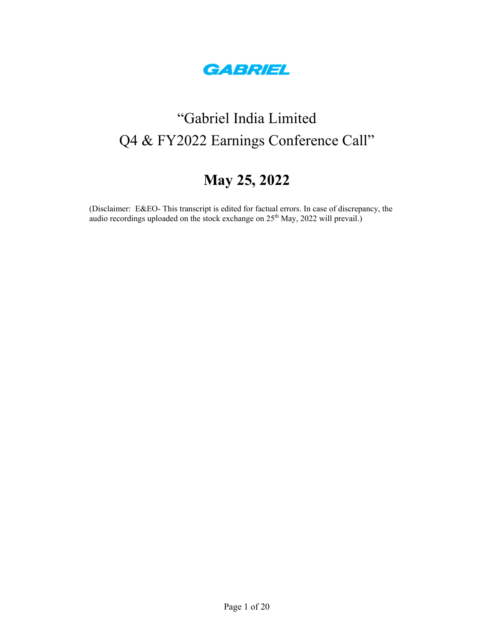

# "Gabriel India Limited Q4 & FY2022 Earnings Conference Call"

# **May 25, 2022**

(Disclaimer: E&EO- This transcript is edited for factual errors. In case of discrepancy, the audio recordings uploaded on the stock exchange on  $25<sup>th</sup>$  May, 2022 will prevail.)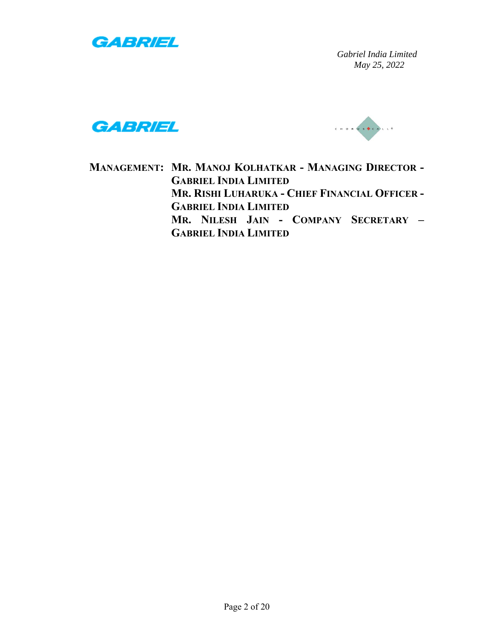





**MANAGEMENT: MR. MANOJ KOLHATKAR - MANAGING DIRECTOR - GABRIEL INDIA LIMITED MR. RISHI LUHARUKA - CHIEF FINANCIAL OFFICER - GABRIEL INDIA LIMITED MR. NILESH JAIN - COMPANY SECRETARY – GABRIEL INDIA LIMITED**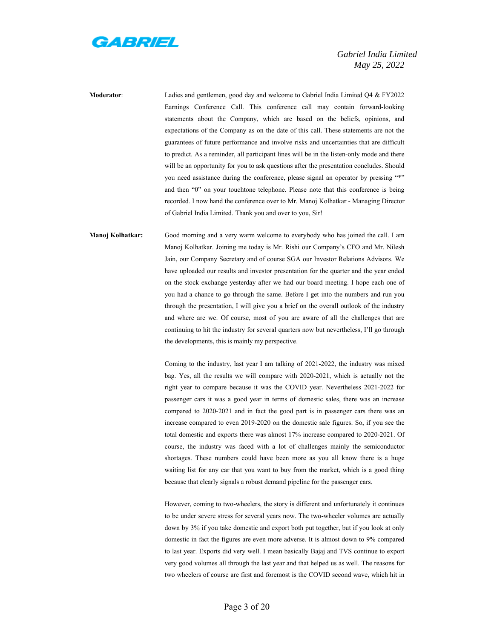

**Moderator**: Ladies and gentlemen, good day and welcome to Gabriel India Limited Q4 & FY2022 Earnings Conference Call. This conference call may contain forward-looking statements about the Company, which are based on the beliefs, opinions, and expectations of the Company as on the date of this call. These statements are not the guarantees of future performance and involve risks and uncertainties that are difficult to predict. As a reminder, all participant lines will be in the listen-only mode and there will be an opportunity for you to ask questions after the presentation concludes. Should you need assistance during the conference, please signal an operator by pressing "\*" and then "0" on your touchtone telephone. Please note that this conference is being recorded. I now hand the conference over to Mr. Manoj Kolhatkar - Managing Director of Gabriel India Limited. Thank you and over to you, Sir!

**Manoj Kolhatkar:** Good morning and a very warm welcome to everybody who has joined the call. I am Manoj Kolhatkar. Joining me today is Mr. Rishi our Company's CFO and Mr. Nilesh Jain, our Company Secretary and of course SGA our Investor Relations Advisors. We have uploaded our results and investor presentation for the quarter and the year ended on the stock exchange yesterday after we had our board meeting. I hope each one of you had a chance to go through the same. Before I get into the numbers and run you through the presentation, I will give you a brief on the overall outlook of the industry and where are we. Of course, most of you are aware of all the challenges that are continuing to hit the industry for several quarters now but nevertheless, I'll go through the developments, this is mainly my perspective.

> Coming to the industry, last year I am talking of 2021-2022, the industry was mixed bag. Yes, all the results we will compare with 2020-2021, which is actually not the right year to compare because it was the COVID year. Nevertheless 2021-2022 for passenger cars it was a good year in terms of domestic sales, there was an increase compared to 2020-2021 and in fact the good part is in passenger cars there was an increase compared to even 2019-2020 on the domestic sale figures. So, if you see the total domestic and exports there was almost 17% increase compared to 2020-2021. Of course, the industry was faced with a lot of challenges mainly the semiconductor shortages. These numbers could have been more as you all know there is a huge waiting list for any car that you want to buy from the market, which is a good thing because that clearly signals a robust demand pipeline for the passenger cars.

> However, coming to two-wheelers, the story is different and unfortunately it continues to be under severe stress for several years now. The two-wheeler volumes are actually down by 3% if you take domestic and export both put together, but if you look at only domestic in fact the figures are even more adverse. It is almost down to 9% compared to last year. Exports did very well. I mean basically Bajaj and TVS continue to export very good volumes all through the last year and that helped us as well. The reasons for two wheelers of course are first and foremost is the COVID second wave, which hit in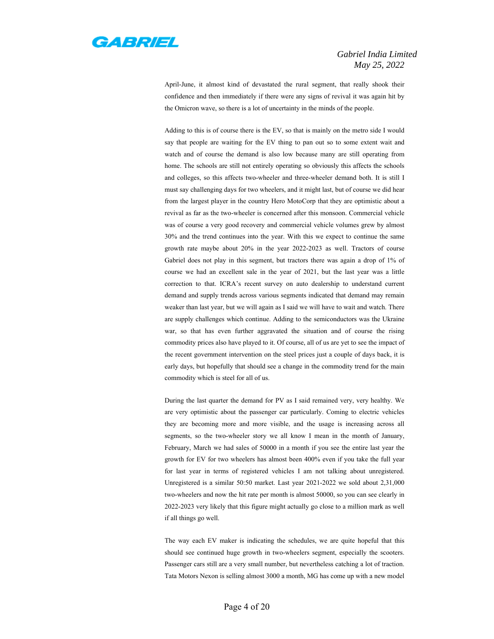

April-June, it almost kind of devastated the rural segment, that really shook their confidence and then immediately if there were any signs of revival it was again hit by the Omicron wave, so there is a lot of uncertainty in the minds of the people.

Adding to this is of course there is the EV, so that is mainly on the metro side I would say that people are waiting for the EV thing to pan out so to some extent wait and watch and of course the demand is also low because many are still operating from home. The schools are still not entirely operating so obviously this affects the schools and colleges, so this affects two-wheeler and three-wheeler demand both. It is still I must say challenging days for two wheelers, and it might last, but of course we did hear from the largest player in the country Hero MotoCorp that they are optimistic about a revival as far as the two-wheeler is concerned after this monsoon. Commercial vehicle was of course a very good recovery and commercial vehicle volumes grew by almost 30% and the trend continues into the year. With this we expect to continue the same growth rate maybe about 20% in the year 2022-2023 as well. Tractors of course Gabriel does not play in this segment, but tractors there was again a drop of 1% of course we had an excellent sale in the year of 2021, but the last year was a little correction to that. ICRA's recent survey on auto dealership to understand current demand and supply trends across various segments indicated that demand may remain weaker than last year, but we will again as I said we will have to wait and watch. There are supply challenges which continue. Adding to the semiconductors was the Ukraine war, so that has even further aggravated the situation and of course the rising commodity prices also have played to it. Of course, all of us are yet to see the impact of the recent government intervention on the steel prices just a couple of days back, it is early days, but hopefully that should see a change in the commodity trend for the main commodity which is steel for all of us.

During the last quarter the demand for PV as I said remained very, very healthy. We are very optimistic about the passenger car particularly. Coming to electric vehicles they are becoming more and more visible, and the usage is increasing across all segments, so the two-wheeler story we all know I mean in the month of January, February, March we had sales of 50000 in a month if you see the entire last year the growth for EV for two wheelers has almost been 400% even if you take the full year for last year in terms of registered vehicles I am not talking about unregistered. Unregistered is a similar 50:50 market. Last year 2021-2022 we sold about 2,31,000 two-wheelers and now the hit rate per month is almost 50000, so you can see clearly in 2022-2023 very likely that this figure might actually go close to a million mark as well if all things go well.

The way each EV maker is indicating the schedules, we are quite hopeful that this should see continued huge growth in two-wheelers segment, especially the scooters. Passenger cars still are a very small number, but nevertheless catching a lot of traction. Tata Motors Nexon is selling almost 3000 a month, MG has come up with a new model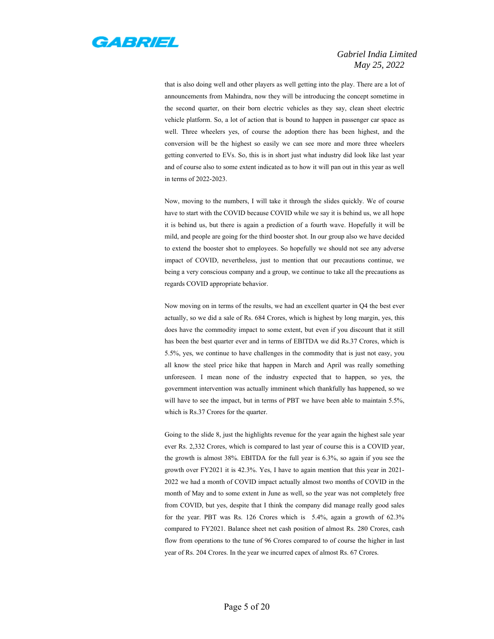

that is also doing well and other players as well getting into the play. There are a lot of announcements from Mahindra, now they will be introducing the concept sometime in the second quarter, on their born electric vehicles as they say, clean sheet electric vehicle platform. So, a lot of action that is bound to happen in passenger car space as well. Three wheelers yes, of course the adoption there has been highest, and the conversion will be the highest so easily we can see more and more three wheelers getting converted to EVs. So, this is in short just what industry did look like last year and of course also to some extent indicated as to how it will pan out in this year as well in terms of 2022-2023.

Now, moving to the numbers, I will take it through the slides quickly. We of course have to start with the COVID because COVID while we say it is behind us, we all hope it is behind us, but there is again a prediction of a fourth wave. Hopefully it will be mild, and people are going for the third booster shot. In our group also we have decided to extend the booster shot to employees. So hopefully we should not see any adverse impact of COVID, nevertheless, just to mention that our precautions continue, we being a very conscious company and a group, we continue to take all the precautions as regards COVID appropriate behavior.

Now moving on in terms of the results, we had an excellent quarter in Q4 the best ever actually, so we did a sale of Rs. 684 Crores, which is highest by long margin, yes, this does have the commodity impact to some extent, but even if you discount that it still has been the best quarter ever and in terms of EBITDA we did Rs.37 Crores, which is 5.5%, yes, we continue to have challenges in the commodity that is just not easy, you all know the steel price hike that happen in March and April was really something unforeseen. I mean none of the industry expected that to happen, so yes, the government intervention was actually imminent which thankfully has happened, so we will have to see the impact, but in terms of PBT we have been able to maintain 5.5%, which is Rs.37 Crores for the quarter.

Going to the slide 8, just the highlights revenue for the year again the highest sale year ever Rs. 2,332 Crores, which is compared to last year of course this is a COVID year, the growth is almost 38%. EBITDA for the full year is 6.3%, so again if you see the growth over FY2021 it is 42.3%. Yes, I have to again mention that this year in 2021- 2022 we had a month of COVID impact actually almost two months of COVID in the month of May and to some extent in June as well, so the year was not completely free from COVID, but yes, despite that I think the company did manage really good sales for the year. PBT was Rs. 126 Crores which is 5.4%, again a growth of 62.3% compared to FY2021. Balance sheet net cash position of almost Rs. 280 Crores, cash flow from operations to the tune of 96 Crores compared to of course the higher in last year of Rs. 204 Crores. In the year we incurred capex of almost Rs. 67 Crores.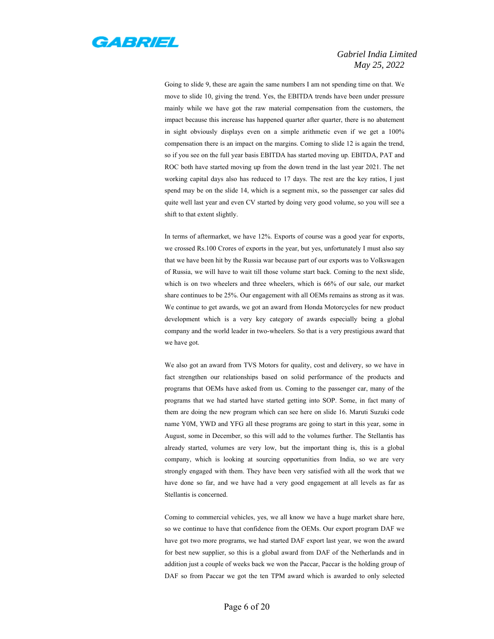

Going to slide 9, these are again the same numbers I am not spending time on that. We move to slide 10, giving the trend. Yes, the EBITDA trends have been under pressure mainly while we have got the raw material compensation from the customers, the impact because this increase has happened quarter after quarter, there is no abatement in sight obviously displays even on a simple arithmetic even if we get a 100% compensation there is an impact on the margins. Coming to slide 12 is again the trend, so if you see on the full year basis EBITDA has started moving up. EBITDA, PAT and ROC both have started moving up from the down trend in the last year 2021. The net working capital days also has reduced to 17 days. The rest are the key ratios, I just spend may be on the slide 14, which is a segment mix, so the passenger car sales did quite well last year and even CV started by doing very good volume, so you will see a shift to that extent slightly.

In terms of aftermarket, we have 12%. Exports of course was a good year for exports, we crossed Rs.100 Crores of exports in the year, but yes, unfortunately I must also say that we have been hit by the Russia war because part of our exports was to Volkswagen of Russia, we will have to wait till those volume start back. Coming to the next slide, which is on two wheelers and three wheelers, which is 66% of our sale, our market share continues to be 25%. Our engagement with all OEMs remains as strong as it was. We continue to get awards, we got an award from Honda Motorcycles for new product development which is a very key category of awards especially being a global company and the world leader in two-wheelers. So that is a very prestigious award that we have got.

We also got an award from TVS Motors for quality, cost and delivery, so we have in fact strengthen our relationships based on solid performance of the products and programs that OEMs have asked from us. Coming to the passenger car, many of the programs that we had started have started getting into SOP. Some, in fact many of them are doing the new program which can see here on slide 16. Maruti Suzuki code name Y0M, YWD and YFG all these programs are going to start in this year, some in August, some in December, so this will add to the volumes further. The Stellantis has already started, volumes are very low, but the important thing is, this is a global company, which is looking at sourcing opportunities from India, so we are very strongly engaged with them. They have been very satisfied with all the work that we have done so far, and we have had a very good engagement at all levels as far as Stellantis is concerned.

Coming to commercial vehicles, yes, we all know we have a huge market share here, so we continue to have that confidence from the OEMs. Our export program DAF we have got two more programs, we had started DAF export last year, we won the award for best new supplier, so this is a global award from DAF of the Netherlands and in addition just a couple of weeks back we won the Paccar, Paccar is the holding group of DAF so from Paccar we got the ten TPM award which is awarded to only selected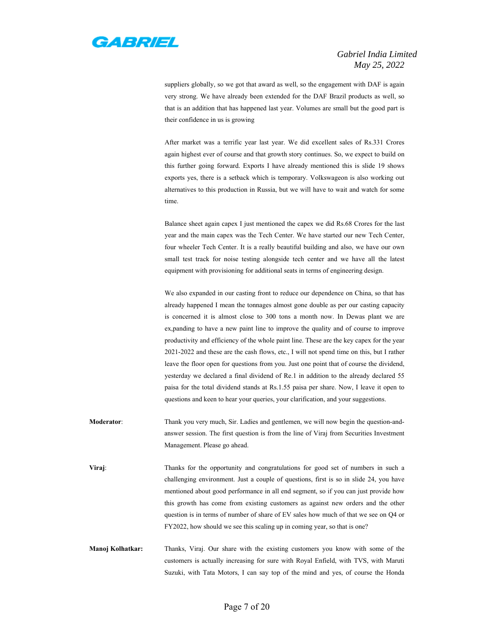

suppliers globally, so we got that award as well, so the engagement with DAF is again very strong. We have already been extended for the DAF Brazil products as well, so that is an addition that has happened last year. Volumes are small but the good part is their confidence in us is growing

After market was a terrific year last year. We did excellent sales of Rs.331 Crores again highest ever of course and that growth story continues. So, we expect to build on this further going forward. Exports I have already mentioned this is slide 19 shows exports yes, there is a setback which is temporary. Volkswageon is also working out alternatives to this production in Russia, but we will have to wait and watch for some time.

Balance sheet again capex I just mentioned the capex we did Rs.68 Crores for the last year and the main capex was the Tech Center. We have started our new Tech Center, four wheeler Tech Center. It is a really beautiful building and also, we have our own small test track for noise testing alongside tech center and we have all the latest equipment with provisioning for additional seats in terms of engineering design.

We also expanded in our casting front to reduce our dependence on China, so that has already happened I mean the tonnages almost gone double as per our casting capacity is concerned it is almost close to 300 tons a month now. In Dewas plant we are ex,panding to have a new paint line to improve the quality and of course to improve productivity and efficiency of the whole paint line. These are the key capex for the year 2021-2022 and these are the cash flows, etc., I will not spend time on this, but I rather leave the floor open for questions from you. Just one point that of course the dividend, yesterday we declared a final dividend of Re.1 in addition to the already declared 55 paisa for the total dividend stands at Rs.1.55 paisa per share. Now, I leave it open to questions and keen to hear your queries, your clarification, and your suggestions.

**Moderator**: Thank you very much, Sir. Ladies and gentlemen, we will now begin the question-andanswer session. The first question is from the line of Viraj from Securities Investment Management. Please go ahead.

**Viraj:** Thanks for the opportunity and congratulations for good set of numbers in such a challenging environment. Just a couple of questions, first is so in slide 24, you have mentioned about good performance in all end segment, so if you can just provide how this growth has come from existing customers as against new orders and the other question is in terms of number of share of EV sales how much of that we see on Q4 or FY2022, how should we see this scaling up in coming year, so that is one?

**Manoj Kolhatkar:** Thanks, Viraj. Our share with the existing customers you know with some of the customers is actually increasing for sure with Royal Enfield, with TVS, with Maruti Suzuki, with Tata Motors, I can say top of the mind and yes, of course the Honda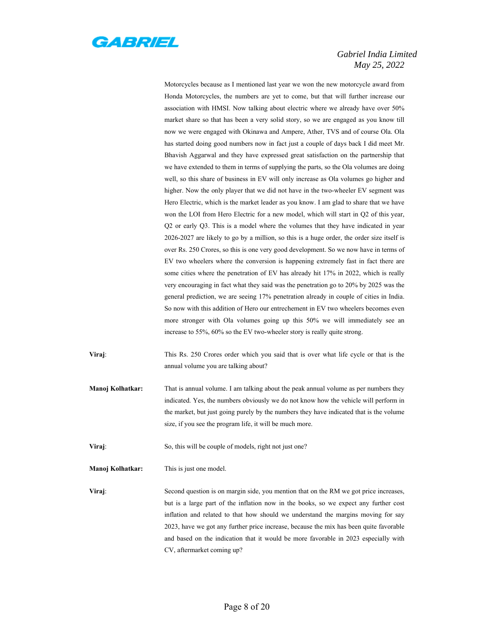

Motorcycles because as I mentioned last year we won the new motorcycle award from Honda Motorcycles, the numbers are yet to come, but that will further increase our association with HMSI. Now talking about electric where we already have over 50% market share so that has been a very solid story, so we are engaged as you know till now we were engaged with Okinawa and Ampere, Ather, TVS and of course Ola. Ola has started doing good numbers now in fact just a couple of days back I did meet Mr. Bhavish Aggarwal and they have expressed great satisfaction on the partnership that we have extended to them in terms of supplying the parts, so the Ola volumes are doing well, so this share of business in EV will only increase as Ola volumes go higher and higher. Now the only player that we did not have in the two-wheeler EV segment was Hero Electric, which is the market leader as you know. I am glad to share that we have won the LOI from Hero Electric for a new model, which will start in Q2 of this year, Q2 or early Q3. This is a model where the volumes that they have indicated in year 2026-2027 are likely to go by a million, so this is a huge order, the order size itself is over Rs. 250 Crores, so this is one very good development. So we now have in terms of EV two wheelers where the conversion is happening extremely fast in fact there are some cities where the penetration of EV has already hit 17% in 2022, which is really very encouraging in fact what they said was the penetration go to 20% by 2025 was the general prediction, we are seeing 17% penetration already in couple of cities in India. So now with this addition of Hero our entrechement in EV two wheelers becomes even more stronger with Ola volumes going up this 50% we will immediately see an increase to 55%, 60% so the EV two-wheeler story is really quite strong.

**Viraj**: This Rs. 250 Crores order which you said that is over what life cycle or that is the annual volume you are talking about?

- **Manoj Kolhatkar:** That is annual volume. I am talking about the peak annual volume as per numbers they indicated. Yes, the numbers obviously we do not know how the vehicle will perform in the market, but just going purely by the numbers they have indicated that is the volume size, if you see the program life, it will be much more.
- **Viraj:** So, this will be couple of models, right not just one?
- **Manoj Kolhatkar:** This is just one model.

**Viraj**: Second question is on margin side, you mention that on the RM we got price increases, but is a large part of the inflation now in the books, so we expect any further cost inflation and related to that how should we understand the margins moving for say 2023, have we got any further price increase, because the mix has been quite favorable and based on the indication that it would be more favorable in 2023 especially with CV, aftermarket coming up?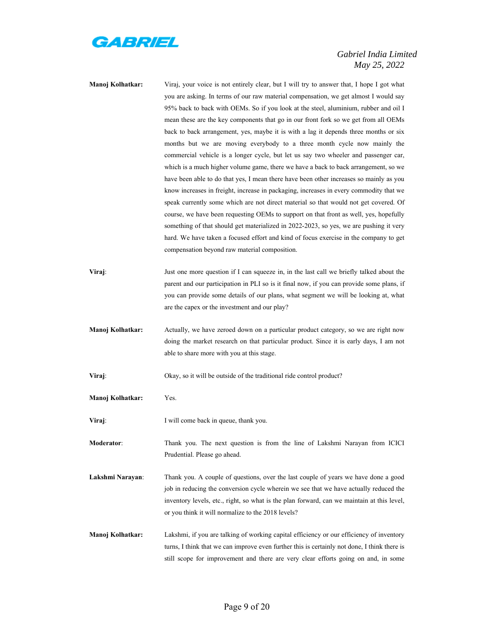

**Manoj Kolhatkar:** Viraj, your voice is not entirely clear, but I will try to answer that, I hope I got what you are asking. In terms of our raw material compensation, we get almost I would say 95% back to back with OEMs. So if you look at the steel, aluminium, rubber and oil I mean these are the key components that go in our front fork so we get from all OEMs back to back arrangement, yes, maybe it is with a lag it depends three months or six months but we are moving everybody to a three month cycle now mainly the commercial vehicle is a longer cycle, but let us say two wheeler and passenger car, which is a much higher volume game, there we have a back to back arrangement, so we have been able to do that yes, I mean there have been other increases so mainly as you know increases in freight, increase in packaging, increases in every commodity that we speak currently some which are not direct material so that would not get covered. Of course, we have been requesting OEMs to support on that front as well, yes, hopefully something of that should get materialized in 2022-2023, so yes, we are pushing it very hard. We have taken a focused effort and kind of focus exercise in the company to get compensation beyond raw material composition. **Viraj:** Just one more question if I can squeeze in, in the last call we briefly talked about the parent and our participation in PLI so is it final now, if you can provide some plans, if you can provide some details of our plans, what segment we will be looking at, what are the capex or the investment and our play? **Manoj Kolhatkar:** Actually, we have zeroed down on a particular product category, so we are right now doing the market research on that particular product. Since it is early days, I am not able to share more with you at this stage. **Viraj**: Okay, so it will be outside of the traditional ride control product? **Manoj Kolhatkar:** Yes. **Viraj:** I will come back in queue, thank you. **Moderator**: Thank you. The next question is from the line of Lakshmi Narayan from ICICI Prudential. Please go ahead. **Lakshmi Narayan**: Thank you. A couple of questions, over the last couple of years we have done a good job in reducing the conversion cycle wherein we see that we have actually reduced the inventory levels, etc., right, so what is the plan forward, can we maintain at this level, or you think it will normalize to the 2018 levels? **Manoj Kolhatkar:** Lakshmi, if you are talking of working capital efficiency or our efficiency of inventory turns, I think that we can improve even further this is certainly not done, I think there is

still scope for improvement and there are very clear efforts going on and, in some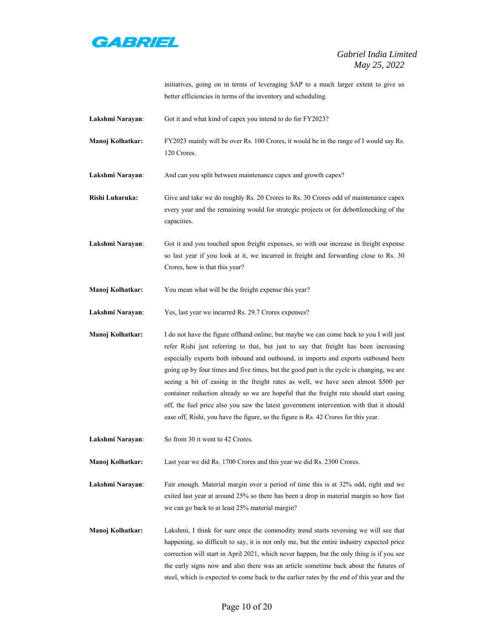

initiatives, going on in terms of leveraging SAP to a much larger extent to give us better efficiencies in terms of the inventory and scheduling.

**Lakshmi Narayan**: Got it and what kind of capex you intend to do for FY2023?

- **Manoj Kolhatkar:** FY2023 mainly will be over Rs. 100 Crores, it would be in the range of I would say Rs. 120 Crores.
- **Lakshmi Narayan:** And can you split between maintenance capex and growth capex?
- **Rishi Luharuka:** Give and take we do roughly Rs. 20 Crores to Rs. 30 Crores odd of maintenance capex every year and the remaining would for strategic projects or for debottlenecking of the capacities.

**Lakshmi Narayan**: Got it and you touched upon freight expenses, so with our increase in freight expense so last year if you look at it, we incurred in freight and forwarding close to Rs. 30 Crores, how is that this year?

**Manoj Kolhatkar:** You mean what will be the freight expense this year?

**Lakshmi Narayan**: Yes, last year we incurred Rs. 29.7 Crores expenses?

**Manoj Kolhatkar:** I do not have the figure offhand online, but maybe we can come back to you I will just refer Rishi just referring to that, but just to say that freight has been increasing especially exports both inbound and outbound, in imports and exports outbound been going up by four times and five times, but the good part is the cycle is changing, we are seeing a bit of easing in the freight rates as well, we have seen almost \$500 per container reduction already so we are hopeful that the freight rate should start easing off, the fuel price also you saw the latest government intervention with that it should ease off, Rishi, you have the figure, so the figure is Rs. 42 Crores for this year.

**Lakshmi Narayan**: So from 30 it went to 42 Crores.

**Manoj Kolhatkar:** Last year we did Rs. 1700 Crores and this year we did Rs. 2300 Crores.

**Lakshmi Narayan**: Fair enough. Material margin over a period of time this is at 32% odd, right and we exited last year at around 25% so there has been a drop in material margin so how fast we can go back to at least 25% material margin?

**Manoj Kolhatkar:** Lakshmi, I think for sure once the commodity trend starts reversing we will see that happening, so difficult to say, it is not only me, but the entire industry expected price correction will start in April 2021, which never happen, but the only thing is if you see the early signs now and also there was an article sometime back about the futures of steel, which is expected to come back to the earlier rates by the end of this year and the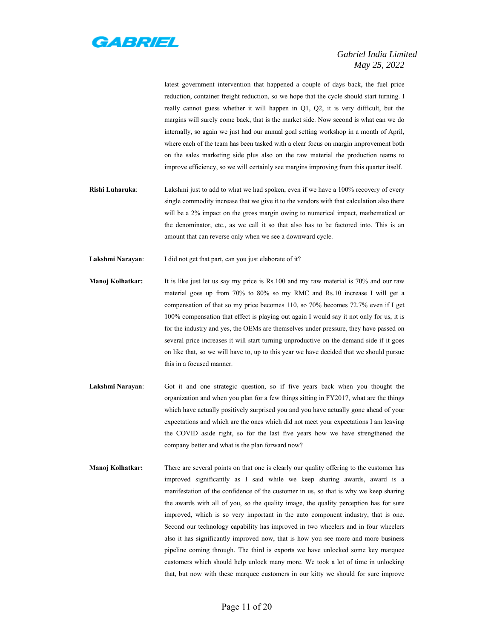

latest government intervention that happened a couple of days back, the fuel price reduction, container freight reduction, so we hope that the cycle should start turning. I really cannot guess whether it will happen in Q1, Q2, it is very difficult, but the margins will surely come back, that is the market side. Now second is what can we do internally, so again we just had our annual goal setting workshop in a month of April, where each of the team has been tasked with a clear focus on margin improvement both on the sales marketing side plus also on the raw material the production teams to improve efficiency, so we will certainly see margins improving from this quarter itself.

**Rishi Luharuka**: Lakshmi just to add to what we had spoken, even if we have a 100% recovery of every single commodity increase that we give it to the vendors with that calculation also there will be a 2% impact on the gross margin owing to numerical impact, mathematical or the denominator, etc., as we call it so that also has to be factored into. This is an amount that can reverse only when we see a downward cycle.

Lakshmi Narayan: I did not get that part, can you just elaborate of it?

- **Manoj Kolhatkar:** It is like just let us say my price is Rs.100 and my raw material is 70% and our raw material goes up from 70% to 80% so my RMC and Rs.10 increase I will get a compensation of that so my price becomes 110, so 70% becomes 72.7% even if I get 100% compensation that effect is playing out again I would say it not only for us, it is for the industry and yes, the OEMs are themselves under pressure, they have passed on several price increases it will start turning unproductive on the demand side if it goes on like that, so we will have to, up to this year we have decided that we should pursue this in a focused manner.
- **Lakshmi Narayan**: Got it and one strategic question, so if five years back when you thought the organization and when you plan for a few things sitting in FY2017, what are the things which have actually positively surprised you and you have actually gone ahead of your expectations and which are the ones which did not meet your expectations I am leaving the COVID aside right, so for the last five years how we have strengthened the company better and what is the plan forward now?
- **Manoj Kolhatkar:** There are several points on that one is clearly our quality offering to the customer has improved significantly as I said while we keep sharing awards, award is a manifestation of the confidence of the customer in us, so that is why we keep sharing the awards with all of you, so the quality image, the quality perception has for sure improved, which is so very important in the auto component industry, that is one. Second our technology capability has improved in two wheelers and in four wheelers also it has significantly improved now, that is how you see more and more business pipeline coming through. The third is exports we have unlocked some key marquee customers which should help unlock many more. We took a lot of time in unlocking that, but now with these marquee customers in our kitty we should for sure improve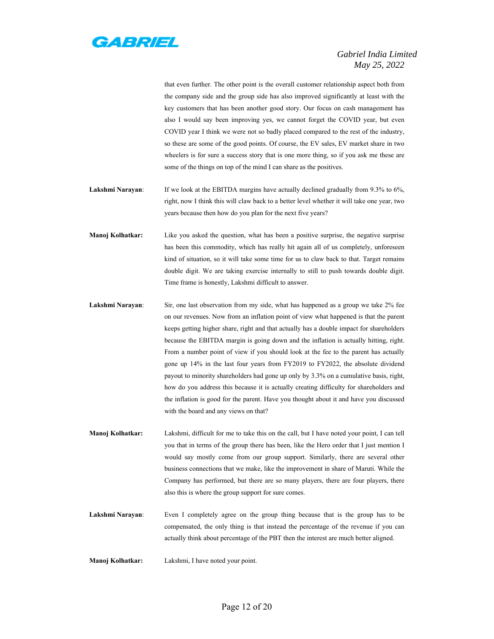

that even further. The other point is the overall customer relationship aspect both from the company side and the group side has also improved significantly at least with the key customers that has been another good story. Our focus on cash management has also I would say been improving yes, we cannot forget the COVID year, but even COVID year I think we were not so badly placed compared to the rest of the industry, so these are some of the good points. Of course, the EV sales, EV market share in two wheelers is for sure a success story that is one more thing, so if you ask me these are some of the things on top of the mind I can share as the positives.

- Lakshmi Narayan: If we look at the EBITDA margins have actually declined gradually from 9.3% to 6%, right, now I think this will claw back to a better level whether it will take one year, two years because then how do you plan for the next five years?
- **Manoj Kolhatkar:** Like you asked the question, what has been a positive surprise, the negative surprise has been this commodity, which has really hit again all of us completely, unforeseen kind of situation, so it will take some time for us to claw back to that. Target remains double digit. We are taking exercise internally to still to push towards double digit. Time frame is honestly, Lakshmi difficult to answer.
- **Lakshmi Narayan**: Sir, one last observation from my side, what has happened as a group we take 2% fee on our revenues. Now from an inflation point of view what happened is that the parent keeps getting higher share, right and that actually has a double impact for shareholders because the EBITDA margin is going down and the inflation is actually hitting, right. From a number point of view if you should look at the fee to the parent has actually gone up 14% in the last four years from FY2019 to FY2022, the absolute dividend payout to minority shareholders had gone up only by 3.3% on a cumulative basis, right, how do you address this because it is actually creating difficulty for shareholders and the inflation is good for the parent. Have you thought about it and have you discussed with the board and any views on that?
- **Manoj Kolhatkar:** Lakshmi, difficult for me to take this on the call, but I have noted your point, I can tell you that in terms of the group there has been, like the Hero order that I just mention I would say mostly come from our group support. Similarly, there are several other business connections that we make, like the improvement in share of Maruti. While the Company has performed, but there are so many players, there are four players, there also this is where the group support for sure comes.
- **Lakshmi Narayan**: Even I completely agree on the group thing because that is the group has to be compensated, the only thing is that instead the percentage of the revenue if you can actually think about percentage of the PBT then the interest are much better aligned.
- **Manoj Kolhatkar:** Lakshmi, I have noted your point.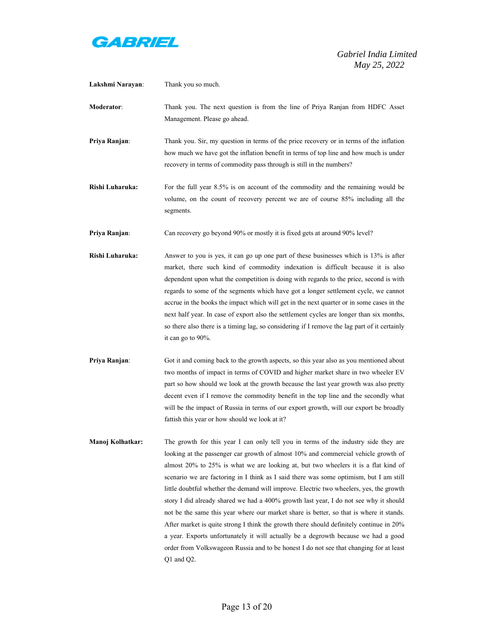

| Lakshmi Narayan: | Thank you so much.                                                                                                                                                                                                                                                                                                                                                                                                                                                                                                                                                                                                                                                                                                                                                                                                                                                                                                                     |
|------------------|----------------------------------------------------------------------------------------------------------------------------------------------------------------------------------------------------------------------------------------------------------------------------------------------------------------------------------------------------------------------------------------------------------------------------------------------------------------------------------------------------------------------------------------------------------------------------------------------------------------------------------------------------------------------------------------------------------------------------------------------------------------------------------------------------------------------------------------------------------------------------------------------------------------------------------------|
| Moderator:       | Thank you. The next question is from the line of Priya Ranjan from HDFC Asset<br>Management. Please go ahead.                                                                                                                                                                                                                                                                                                                                                                                                                                                                                                                                                                                                                                                                                                                                                                                                                          |
| Priya Ranjan:    | Thank you. Sir, my question in terms of the price recovery or in terms of the inflation<br>how much we have got the inflation benefit in terms of top line and how much is under<br>recovery in terms of commodity pass through is still in the numbers?                                                                                                                                                                                                                                                                                                                                                                                                                                                                                                                                                                                                                                                                               |
| Rishi Luharuka:  | For the full year 8.5% is on account of the commodity and the remaining would be<br>volume, on the count of recovery percent we are of course 85% including all the<br>segments.                                                                                                                                                                                                                                                                                                                                                                                                                                                                                                                                                                                                                                                                                                                                                       |
| Priya Ranjan:    | Can recovery go beyond 90% or mostly it is fixed gets at around 90% level?                                                                                                                                                                                                                                                                                                                                                                                                                                                                                                                                                                                                                                                                                                                                                                                                                                                             |
| Rishi Luharuka:  | Answer to you is yes, it can go up one part of these businesses which is 13% is after<br>market, there such kind of commodity indexation is difficult because it is also<br>dependent upon what the competition is doing with regards to the price, second is with<br>regards to some of the segments which have got a longer settlement cycle, we cannot<br>accrue in the books the impact which will get in the next quarter or in some cases in the<br>next half year. In case of export also the settlement cycles are longer than six months,<br>so there also there is a timing lag, so considering if I remove the lag part of it certainly<br>it can go to $90\%$ .                                                                                                                                                                                                                                                            |
| Priya Ranjan:    | Got it and coming back to the growth aspects, so this year also as you mentioned about<br>two months of impact in terms of COVID and higher market share in two wheeler EV<br>part so how should we look at the growth because the last year growth was also pretty<br>decent even if I remove the commodity benefit in the top line and the secondly what<br>will be the impact of Russia in terms of our export growth, will our export be broadly<br>fattish this year or how should we look at it?                                                                                                                                                                                                                                                                                                                                                                                                                                 |
| Manoj Kolhatkar: | The growth for this year I can only tell you in terms of the industry side they are<br>looking at the passenger car growth of almost 10% and commercial vehicle growth of<br>almost 20% to 25% is what we are looking at, but two wheelers it is a flat kind of<br>scenario we are factoring in I think as I said there was some optimism, but I am still<br>little doubtful whether the demand will improve. Electric two wheelers, yes, the growth<br>story I did already shared we had a 400% growth last year, I do not see why it should<br>not be the same this year where our market share is better, so that is where it stands.<br>After market is quite strong I think the growth there should definitely continue in 20%<br>a year. Exports unfortunately it will actually be a degrowth because we had a good<br>order from Volkswageon Russia and to be honest I do not see that changing for at least<br>$Q1$ and $Q2$ . |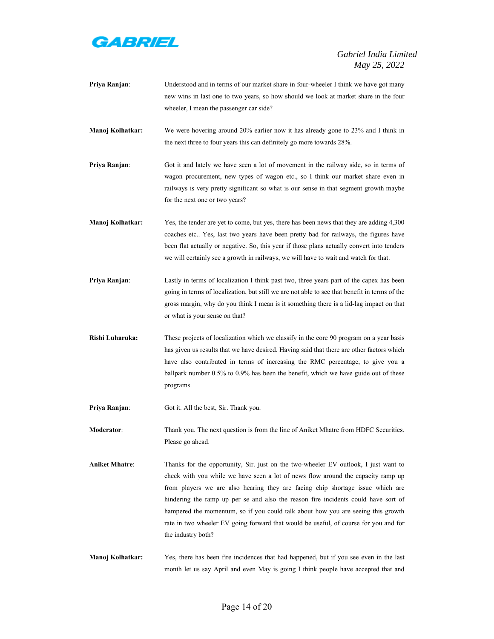

|                       | new wins in last one to two years, so how should we look at market share in the four<br>wheeler, I mean the passenger car side?                                                                                                                                                                                                                                                                                                                                                                                                                   |
|-----------------------|---------------------------------------------------------------------------------------------------------------------------------------------------------------------------------------------------------------------------------------------------------------------------------------------------------------------------------------------------------------------------------------------------------------------------------------------------------------------------------------------------------------------------------------------------|
| Manoj Kolhatkar:      | We were hovering around 20% earlier now it has already gone to 23% and I think in<br>the next three to four years this can definitely go more towards 28%.                                                                                                                                                                                                                                                                                                                                                                                        |
| Priya Ranjan:         | Got it and lately we have seen a lot of movement in the railway side, so in terms of<br>wagon procurement, new types of wagon etc., so I think our market share even in<br>railways is very pretty significant so what is our sense in that segment growth maybe<br>for the next one or two years?                                                                                                                                                                                                                                                |
| Manoj Kolhatkar:      | Yes, the tender are yet to come, but yes, there has been news that they are adding 4,300<br>coaches etc Yes, last two years have been pretty bad for railways, the figures have<br>been flat actually or negative. So, this year if those plans actually convert into tenders<br>we will certainly see a growth in railways, we will have to wait and watch for that.                                                                                                                                                                             |
| Priya Ranjan:         | Lastly in terms of localization I think past two, three years part of the capex has been<br>going in terms of localization, but still we are not able to see that benefit in terms of the<br>gross margin, why do you think I mean is it something there is a lid-lag impact on that<br>or what is your sense on that?                                                                                                                                                                                                                            |
| Rishi Luharuka:       | These projects of localization which we classify in the core 90 program on a year basis<br>has given us results that we have desired. Having said that there are other factors which<br>have also contributed in terms of increasing the RMC percentage, to give you a<br>ballpark number 0.5% to 0.9% has been the benefit, which we have guide out of these<br>programs.                                                                                                                                                                        |
| Priya Ranjan:         | Got it. All the best, Sir. Thank you.                                                                                                                                                                                                                                                                                                                                                                                                                                                                                                             |
| <b>Moderator:</b>     | Thank you. The next question is from the line of Aniket Mhatre from HDFC Securities.<br>Please go ahead.                                                                                                                                                                                                                                                                                                                                                                                                                                          |
| <b>Aniket Mhatre:</b> | Thanks for the opportunity, Sir. just on the two-wheeler EV outlook, I just want to<br>check with you while we have seen a lot of news flow around the capacity ramp up<br>from players we are also hearing they are facing chip shortage issue which are<br>hindering the ramp up per se and also the reason fire incidents could have sort of<br>hampered the momentum, so if you could talk about how you are seeing this growth<br>rate in two wheeler EV going forward that would be useful, of course for you and for<br>the industry both? |
| Manoj Kolhatkar:      | Yes, there has been fire incidences that had happened, but if you see even in the last<br>month let us say April and even May is going I think people have accepted that and                                                                                                                                                                                                                                                                                                                                                                      |

**Priya Ranjan**: Understood and in terms of our market share in four-wheeler I think we have got many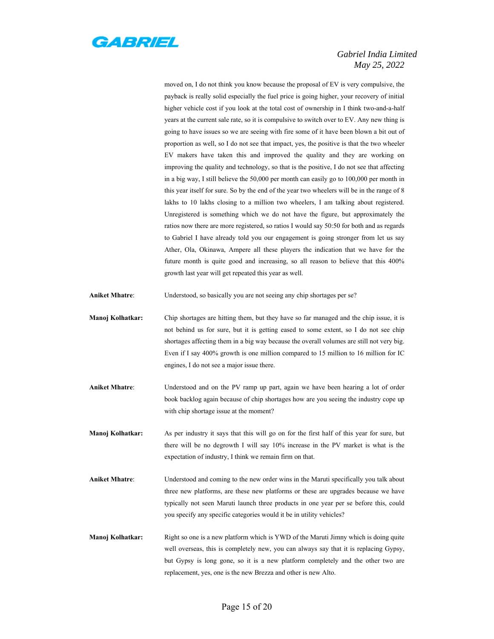

moved on, I do not think you know because the proposal of EV is very compulsive, the payback is really solid especially the fuel price is going higher, your recovery of initial higher vehicle cost if you look at the total cost of ownership in I think two-and-a-half years at the current sale rate, so it is compulsive to switch over to EV. Any new thing is going to have issues so we are seeing with fire some of it have been blown a bit out of proportion as well, so I do not see that impact, yes, the positive is that the two wheeler EV makers have taken this and improved the quality and they are working on improving the quality and technology, so that is the positive, I do not see that affecting in a big way, I still believe the 50,000 per month can easily go to 100,000 per month in this year itself for sure. So by the end of the year two wheelers will be in the range of 8 lakhs to 10 lakhs closing to a million two wheelers, I am talking about registered. Unregistered is something which we do not have the figure, but approximately the ratios now there are more registered, so ratios I would say 50:50 for both and as regards to Gabriel I have already told you our engagement is going stronger from let us say Ather, Ola, Okinawa, Ampere all these players the indication that we have for the future month is quite good and increasing, so all reason to believe that this 400% growth last year will get repeated this year as well.

- **Aniket Mhatre**: Understood, so basically you are not seeing any chip shortages per se?
- **Manoj Kolhatkar:** Chip shortages are hitting them, but they have so far managed and the chip issue, it is not behind us for sure, but it is getting eased to some extent, so I do not see chip shortages affecting them in a big way because the overall volumes are still not very big. Even if I say 400% growth is one million compared to 15 million to 16 million for IC engines, I do not see a major issue there.
- **Aniket Mhatre**: Understood and on the PV ramp up part, again we have been hearing a lot of order book backlog again because of chip shortages how are you seeing the industry cope up with chip shortage issue at the moment?
- **Manoj Kolhatkar:** As per industry it says that this will go on for the first half of this year for sure, but there will be no degrowth I will say 10% increase in the PV market is what is the expectation of industry, I think we remain firm on that.
- **Aniket Mhatre**: Understood and coming to the new order wins in the Maruti specifically you talk about three new platforms, are these new platforms or these are upgrades because we have typically not seen Maruti launch three products in one year per se before this, could you specify any specific categories would it be in utility vehicles?
- **Manoj Kolhatkar:** Right so one is a new platform which is YWD of the Maruti Jimny which is doing quite well overseas, this is completely new, you can always say that it is replacing Gypsy, but Gypsy is long gone, so it is a new platform completely and the other two are replacement, yes, one is the new Brezza and other is new Alto.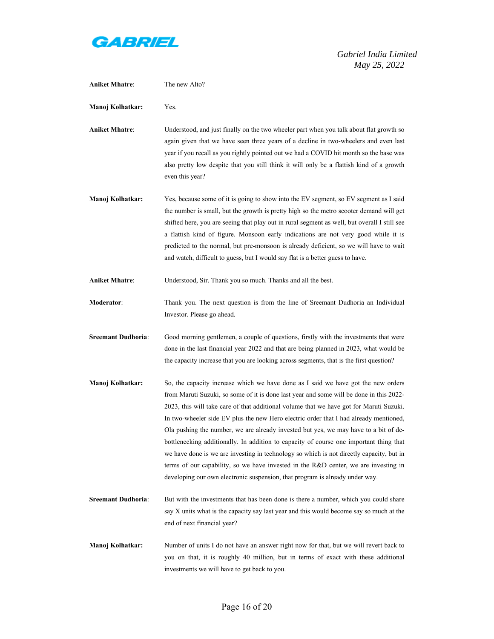

| <b>Aniket Mhatre:</b>     | The new Alto?                                                                                                                                                                                                                                                                                                                                                                                                                                                                                                                                                                                                                                                                                                                                                                                                         |
|---------------------------|-----------------------------------------------------------------------------------------------------------------------------------------------------------------------------------------------------------------------------------------------------------------------------------------------------------------------------------------------------------------------------------------------------------------------------------------------------------------------------------------------------------------------------------------------------------------------------------------------------------------------------------------------------------------------------------------------------------------------------------------------------------------------------------------------------------------------|
| Manoj Kolhatkar:          | Yes.                                                                                                                                                                                                                                                                                                                                                                                                                                                                                                                                                                                                                                                                                                                                                                                                                  |
| <b>Aniket Mhatre:</b>     | Understood, and just finally on the two wheeler part when you talk about flat growth so<br>again given that we have seen three years of a decline in two-wheelers and even last<br>year if you recall as you rightly pointed out we had a COVID hit month so the base was<br>also pretty low despite that you still think it will only be a flattish kind of a growth<br>even this year?                                                                                                                                                                                                                                                                                                                                                                                                                              |
| Manoj Kolhatkar:          | Yes, because some of it is going to show into the EV segment, so EV segment as I said<br>the number is small, but the growth is pretty high so the metro scooter demand will get<br>shifted here, you are seeing that play out in rural segment as well, but overall I still see<br>a flattish kind of figure. Monsoon early indications are not very good while it is<br>predicted to the normal, but pre-monsoon is already deficient, so we will have to wait<br>and watch, difficult to guess, but I would say flat is a better guess to have.                                                                                                                                                                                                                                                                    |
| <b>Aniket Mhatre:</b>     | Understood, Sir. Thank you so much. Thanks and all the best.                                                                                                                                                                                                                                                                                                                                                                                                                                                                                                                                                                                                                                                                                                                                                          |
| Moderator:                | Thank you. The next question is from the line of Sreemant Dudhoria an Individual<br>Investor. Please go ahead.                                                                                                                                                                                                                                                                                                                                                                                                                                                                                                                                                                                                                                                                                                        |
| <b>Sreemant Dudhoria:</b> | Good morning gentlemen, a couple of questions, firstly with the investments that were<br>done in the last financial year 2022 and that are being planned in 2023, what would be<br>the capacity increase that you are looking across segments, that is the first question?                                                                                                                                                                                                                                                                                                                                                                                                                                                                                                                                            |
| Manoj Kolhatkar:          | So, the capacity increase which we have done as I said we have got the new orders<br>from Maruti Suzuki, so some of it is done last year and some will be done in this 2022-<br>2023, this will take care of that additional volume that we have got for Maruti Suzuki.<br>In two-wheeler side EV plus the new Hero electric order that I had already mentioned,<br>Ola pushing the number, we are already invested but yes, we may have to a bit of de-<br>bottlenecking additionally. In addition to capacity of course one important thing that<br>we have done is we are investing in technology so which is not directly capacity, but in<br>terms of our capability, so we have invested in the R&D center, we are investing in<br>developing our own electronic suspension, that program is already under way. |
| <b>Sreemant Dudhoria:</b> | But with the investments that has been done is there a number, which you could share<br>say X units what is the capacity say last year and this would become say so much at the<br>end of next financial year?                                                                                                                                                                                                                                                                                                                                                                                                                                                                                                                                                                                                        |
| Manoj Kolhatkar:          | Number of units I do not have an answer right now for that, but we will revert back to<br>you on that, it is roughly 40 million, but in terms of exact with these additional<br>investments we will have to get back to you.                                                                                                                                                                                                                                                                                                                                                                                                                                                                                                                                                                                          |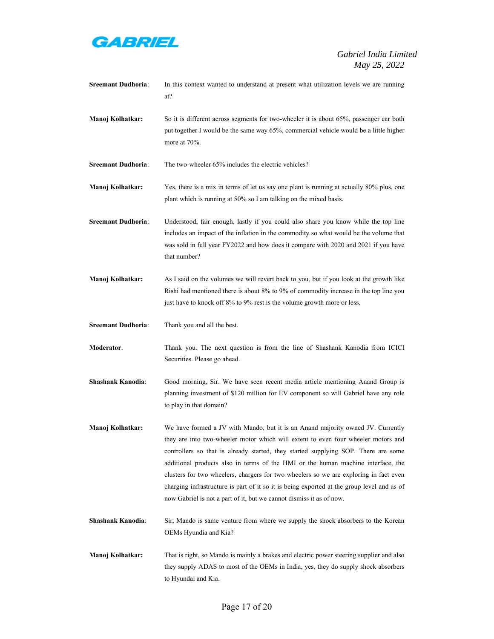

| <b>Sreemant Dudhoria:</b> | In this context wanted to understand at present what utilization levels we are running<br>at?                                                                                                                                                                                                                                                                                                                                                                                                                                                                                                                 |
|---------------------------|---------------------------------------------------------------------------------------------------------------------------------------------------------------------------------------------------------------------------------------------------------------------------------------------------------------------------------------------------------------------------------------------------------------------------------------------------------------------------------------------------------------------------------------------------------------------------------------------------------------|
| Manoj Kolhatkar:          | So it is different across segments for two-wheeler it is about 65%, passenger car both<br>put together I would be the same way 65%, commercial vehicle would be a little higher<br>more at 70%.                                                                                                                                                                                                                                                                                                                                                                                                               |
| <b>Sreemant Dudhoria:</b> | The two-wheeler 65% includes the electric vehicles?                                                                                                                                                                                                                                                                                                                                                                                                                                                                                                                                                           |
| Manoj Kolhatkar:          | Yes, there is a mix in terms of let us say one plant is running at actually 80% plus, one<br>plant which is running at 50% so I am talking on the mixed basis.                                                                                                                                                                                                                                                                                                                                                                                                                                                |
| <b>Sreemant Dudhoria:</b> | Understood, fair enough, lastly if you could also share you know while the top line<br>includes an impact of the inflation in the commodity so what would be the volume that<br>was sold in full year FY2022 and how does it compare with 2020 and 2021 if you have<br>that number?                                                                                                                                                                                                                                                                                                                           |
| Manoj Kolhatkar:          | As I said on the volumes we will revert back to you, but if you look at the growth like<br>Rishi had mentioned there is about 8% to 9% of commodity increase in the top line you<br>just have to knock off 8% to 9% rest is the volume growth more or less.                                                                                                                                                                                                                                                                                                                                                   |
| <b>Sreemant Dudhoria:</b> | Thank you and all the best.                                                                                                                                                                                                                                                                                                                                                                                                                                                                                                                                                                                   |
| <b>Moderator:</b>         | Thank you. The next question is from the line of Shashank Kanodia from ICICI<br>Securities. Please go ahead.                                                                                                                                                                                                                                                                                                                                                                                                                                                                                                  |
| <b>Shashank Kanodia:</b>  | Good morning, Sir. We have seen recent media article mentioning Anand Group is<br>planning investment of \$120 million for EV component so will Gabriel have any role<br>to play in that domain?                                                                                                                                                                                                                                                                                                                                                                                                              |
| Manoj Kolhatkar:          | We have formed a JV with Mando, but it is an Anand majority owned JV. Currently<br>they are into two-wheeler motor which will extent to even four wheeler motors and<br>controllers so that is already started, they started supplying SOP. There are some<br>additional products also in terms of the HMI or the human machine interface, the<br>clusters for two wheelers, chargers for two wheelers so we are exploring in fact even<br>charging infrastructure is part of it so it is being exported at the group level and as of<br>now Gabriel is not a part of it, but we cannot dismiss it as of now. |
| Shashank Kanodia:         | Sir, Mando is same venture from where we supply the shock absorbers to the Korean<br>OEMs Hyundia and Kia?                                                                                                                                                                                                                                                                                                                                                                                                                                                                                                    |
| Manoj Kolhatkar:          | That is right, so Mando is mainly a brakes and electric power steering supplier and also<br>they supply ADAS to most of the OEMs in India, yes, they do supply shock absorbers<br>to Hyundai and Kia.                                                                                                                                                                                                                                                                                                                                                                                                         |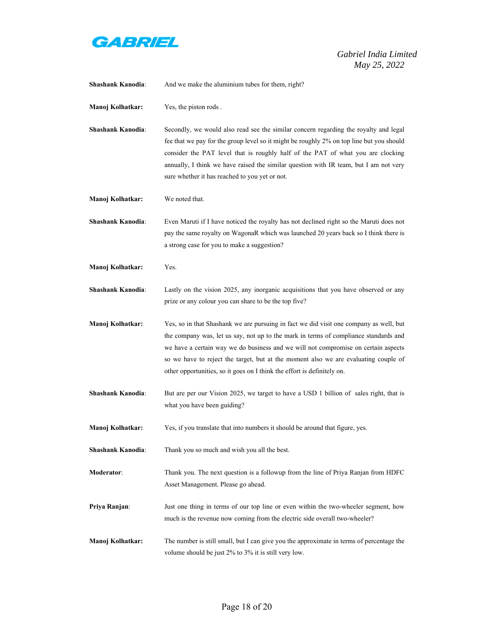

| <b>Shashank Kanodia:</b> | And we make the aluminium tubes for them, right?                                                                                                                                                                                                                                                                                                                                                                                       |
|--------------------------|----------------------------------------------------------------------------------------------------------------------------------------------------------------------------------------------------------------------------------------------------------------------------------------------------------------------------------------------------------------------------------------------------------------------------------------|
| Manoj Kolhatkar:         | Yes, the piston rods.                                                                                                                                                                                                                                                                                                                                                                                                                  |
| <b>Shashank Kanodia:</b> | Secondly, we would also read see the similar concern regarding the royalty and legal<br>fee that we pay for the group level so it might be roughly 2% on top line but you should<br>consider the PAT level that is roughly half of the PAT of what you are clocking<br>annually, I think we have raised the similar question with IR team, but I am not very<br>sure whether it has reached to you yet or not.                         |
| Manoj Kolhatkar:         | We noted that.                                                                                                                                                                                                                                                                                                                                                                                                                         |
| <b>Shashank Kanodia:</b> | Even Maruti if I have noticed the royalty has not declined right so the Maruti does not<br>pay the same royalty on WagonaR which was launched 20 years back so I think there is<br>a strong case for you to make a suggestion?                                                                                                                                                                                                         |
| Manoj Kolhatkar:         | Yes.                                                                                                                                                                                                                                                                                                                                                                                                                                   |
| Shashank Kanodia:        | Lastly on the vision 2025, any inorganic acquisitions that you have observed or any<br>prize or any colour you can share to be the top five?                                                                                                                                                                                                                                                                                           |
| Manoj Kolhatkar:         | Yes, so in that Shashank we are pursuing in fact we did visit one company as well, but<br>the company was, let us say, not up to the mark in terms of compliance standards and<br>we have a certain way we do business and we will not compromise on certain aspects<br>so we have to reject the target, but at the moment also we are evaluating couple of<br>other opportunities, so it goes on I think the effort is definitely on. |
| <b>Shashank Kanodia:</b> | But are per our Vision 2025, we target to have a USD 1 billion of sales right, that is<br>what you have been guiding?                                                                                                                                                                                                                                                                                                                  |
| Manoj Kolhatkar:         | Yes, if you translate that into numbers it should be around that figure, yes.                                                                                                                                                                                                                                                                                                                                                          |
| <b>Shashank Kanodia:</b> | Thank you so much and wish you all the best.                                                                                                                                                                                                                                                                                                                                                                                           |
| Moderator:               | Thank you. The next question is a followup from the line of Priya Ranjan from HDFC<br>Asset Management. Please go ahead.                                                                                                                                                                                                                                                                                                               |
| Priya Ranjan:            | Just one thing in terms of our top line or even within the two-wheeler segment, how<br>much is the revenue now coming from the electric side overall two-wheeler?                                                                                                                                                                                                                                                                      |
| Manoj Kolhatkar:         | The number is still small, but I can give you the approximate in terms of percentage the<br>volume should be just 2% to 3% it is still very low.                                                                                                                                                                                                                                                                                       |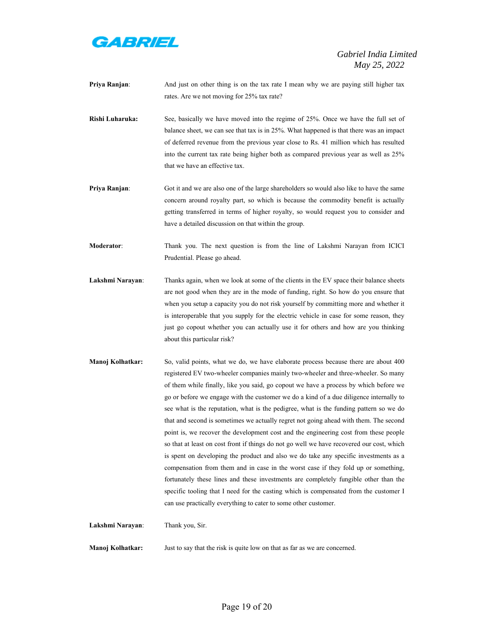

- **Priya Ranjan**: And just on other thing is on the tax rate I mean why we are paying still higher tax rates. Are we not moving for 25% tax rate?
- **Rishi Luharuka:** See, basically we have moved into the regime of 25%. Once we have the full set of balance sheet, we can see that tax is in 25%. What happened is that there was an impact of deferred revenue from the previous year close to Rs. 41 million which has resulted into the current tax rate being higher both as compared previous year as well as 25% that we have an effective tax.
- **Priya Ranjan:** Got it and we are also one of the large shareholders so would also like to have the same concern around royalty part, so which is because the commodity benefit is actually getting transferred in terms of higher royalty, so would request you to consider and have a detailed discussion on that within the group.
- **Moderator**: Thank you. The next question is from the line of Lakshmi Narayan from ICICI Prudential. Please go ahead.
- Lakshmi Narayan: Thanks again, when we look at some of the clients in the EV space their balance sheets are not good when they are in the mode of funding, right. So how do you ensure that when you setup a capacity you do not risk yourself by committing more and whether it is interoperable that you supply for the electric vehicle in case for some reason, they just go copout whether you can actually use it for others and how are you thinking about this particular risk?
- **Manoj Kolhatkar:** So, valid points, what we do, we have elaborate process because there are about 400 registered EV two-wheeler companies mainly two-wheeler and three-wheeler. So many of them while finally, like you said, go copout we have a process by which before we go or before we engage with the customer we do a kind of a due diligence internally to see what is the reputation, what is the pedigree, what is the funding pattern so we do that and second is sometimes we actually regret not going ahead with them. The second point is, we recover the development cost and the engineering cost from these people so that at least on cost front if things do not go well we have recovered our cost, which is spent on developing the product and also we do take any specific investments as a compensation from them and in case in the worst case if they fold up or something, fortunately these lines and these investments are completely fungible other than the specific tooling that I need for the casting which is compensated from the customer I can use practically everything to cater to some other customer.

**Lakshmi Narayan**: Thank you, Sir.

**Manoj Kolhatkar:** Just to say that the risk is quite low on that as far as we are concerned.